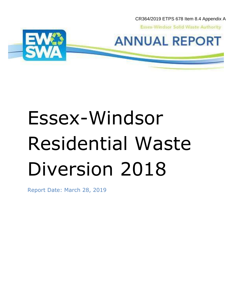CR364/2019 ETPS 678 Item 8.4 Appendix A

**Essex-Windsor Solid Waste Authority** 





# Essex-Windsor Residential Waste Diversion 2018

Report Date: March 28, 2019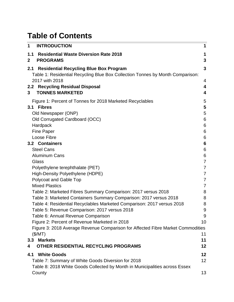# **Table of Contents**

| 1                  | <b>INTRODUCTION</b>                                                                                                                                                                                                                   | 1                                                                      |
|--------------------|---------------------------------------------------------------------------------------------------------------------------------------------------------------------------------------------------------------------------------------|------------------------------------------------------------------------|
| 1.1<br>$\mathbf 2$ | <b>Residential Waste Diversion Rate 2018</b><br><b>PROGRAMS</b>                                                                                                                                                                       | $\mathbf{3}$                                                           |
| 2.1                | <b>Residential Recycling Blue Box Program</b><br>Table 1: Residential Recycling Blue Box Collection Tonnes by Month Comparison:<br>2017 with 2018                                                                                     | $\mathbf{3}$                                                           |
| 3                  | 2.2 Recycling Residual Disposal<br><b>TONNES MARKETED</b>                                                                                                                                                                             | 4<br>4<br>$\overline{\mathbf{4}}$                                      |
| 3.1                | Figure 1: Percent of Tonnes for 2018 Marketed Recyclables<br><b>Fibres</b><br>Old Newspaper (ONP)<br>Old Corrugated Cardboard (OCC)<br>Hardpack<br><b>Fine Paper</b>                                                                  | 5<br>5<br>5<br>$6\phantom{1}6$<br>$6\phantom{1}6$<br>6                 |
|                    | Loose Fibre<br>3.2 Containers<br><b>Steel Cans</b><br><b>Aluminum Cans</b><br>Glass                                                                                                                                                   | $\,6$<br>$6\phantom{1}6$<br>$6\phantom{1}6$<br>$\,6$<br>$\overline{7}$ |
|                    | Polyethylene terephthalate (PET)<br>High-Density Polyethylene (HDPE)<br>Polycoat and Gable Top                                                                                                                                        | $\overline{7}$<br>$\overline{7}$<br>$\overline{7}$                     |
|                    | <b>Mixed Plastics</b><br>Table 2: Marketed Fibres Summary Comparison: 2017 versus 2018<br>Table 3: Marketed Containers Summary Comparison: 2017 versus 2018<br>Table 4: Residential Recyclables Marketed Comparison: 2017 versus 2018 | $\overline{7}$<br>8<br>8<br>8                                          |
|                    | Table 5: Revenue Comparison: 2017 versus 2018<br>Table 6: Annual Revenue Comparison<br>Figure 2: Percent of Revenue Marketed in 2018                                                                                                  | 9<br>9<br>10                                                           |
| 3.3                | Figure 3: 2018 Average Revenue Comparison for Affected Fibre Market Commodities<br>(\$/MT)<br><b>Markets</b>                                                                                                                          | 11<br>11                                                               |
| 4<br>4.1           | OTHER RESIDENTIAL RECYCLING PROGRAMS<br><b>White Goods</b><br>Table 7: Summary of White Goods Diversion for 2018<br>Table 8: 2018 White Goods Collected by Month in Municipalities across Essex                                       | 12<br>12<br>12                                                         |
|                    | County                                                                                                                                                                                                                                | 13                                                                     |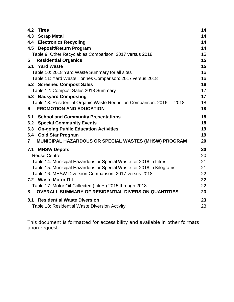| 4.2            | <b>Tires</b>                                                          | 14 |
|----------------|-----------------------------------------------------------------------|----|
|                | 4.3 Scrap Metal                                                       | 14 |
|                | <b>4.4 Electronics Recycling</b>                                      | 14 |
|                | 4.5 Deposit/Return Program                                            | 14 |
|                | Table 9: Other Recyclables Comparison: 2017 versus 2018               | 15 |
| 5              | <b>Residential Organics</b>                                           | 15 |
|                | 5.1 Yard Waste                                                        | 15 |
|                | Table 10: 2018 Yard Waste Summary for all sites                       | 16 |
|                | Table 11: Yard Waste Tonnes Comparison: 2017 versus 2018              | 16 |
|                | <b>5.2 Screened Compost Sales</b>                                     | 16 |
|                | Table 12: Compost Sales 2018 Summary                                  | 17 |
|                | 5.3 Backyard Composting                                               | 17 |
|                | Table 13: Residential Organic Waste Reduction Comparison: 2016 - 2018 | 18 |
| 6              | <b>PROMOTION AND EDUCATION</b>                                        | 18 |
| 6.1            | <b>School and Community Presentations</b>                             | 18 |
|                | <b>6.2 Special Community Events</b>                                   | 18 |
|                | 6.3 On-going Public Education Activities                              | 19 |
|                | 6.4 Gold Star Program                                                 | 19 |
| $\overline{7}$ | MUNICIPAL HAZARDOUS OR SPECIAL WASTES (MHSW) PROGRAM                  | 20 |
| 7.1            | <b>MHSW Depots</b>                                                    | 20 |
|                | <b>Reuse Centre</b>                                                   | 20 |
|                | Table 14: Municipal Hazardous or Special Waste for 2018 in Litres     | 21 |
|                | Table 15: Municipal Hazardous or Special Waste for 2018 in Kilograms  | 21 |
|                | Table 16: MHSW Diversion Comparison: 2017 versus 2018                 | 22 |
|                | 7.2 Waste Motor Oil                                                   | 22 |
|                | Table 17: Motor Oil Collected (Litres) 2015 through 2018              | 22 |
| 8              | <b>OVERALL SUMMARY OF RESIDENTIAL DIVERSION QUANTITIES</b>            | 23 |
| 8.1            | <b>Residential Waste Diversion</b>                                    | 23 |
|                | Table 18: Residential Waste Diversion Activity                        | 23 |

This document is formatted for accessibility and available in other formats upon request.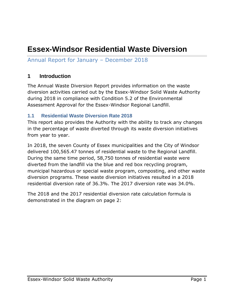# **Essex-Windsor Residential Waste Diversion**

# Annual Report for January – December 2018

#### <span id="page-3-0"></span>**1 Introduction**

The Annual Waste Diversion Report provides information on the waste diversion activities carried out by the Essex-Windsor Solid Waste Authority during 2018 in compliance with Condition 5.2 of the Environmental Assessment Approval for the Essex-Windsor Regional Landfill.

#### <span id="page-3-1"></span>**1.1 Residential Waste Diversion Rate 2018**

This report also provides the Authority with the ability to track any changes in the percentage of waste diverted through its waste diversion initiatives from year to year.

In 2018, the seven County of Essex municipalities and the City of Windsor delivered 100,565.47 tonnes of residential waste to the Regional Landfill. During the same time period, 58,750 tonnes of residential waste were diverted from the landfill via the blue and red box recycling program, municipal hazardous or special waste program, composting, and other waste diversion programs. These waste diversion initiatives resulted in a 2018 residential diversion rate of 36.3%. The 2017 diversion rate was 34.0%.

The 2018 and the 2017 residential diversion rate calculation formula is demonstrated in the diagram on page 2: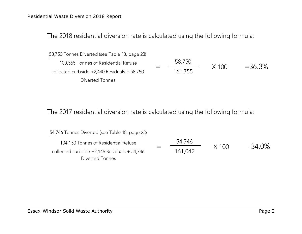The 2018 residential diversion rate is calculated using the following formula:

| 58,750 Tonnes Diverted (see Table 18, page 23)  |         |         |          |
|-------------------------------------------------|---------|---------|----------|
| 100,565 Tonnes of Residential Refuse            | 58,750  | $X$ 100 | $=36.3%$ |
| collected curbside $+2,440$ Residuals $+58,750$ | 161,755 |         |          |
| Diverted Tonnes                                 |         |         |          |

The 2017 residential diversion rate is calculated using the following formula:

| 54,746 Tonnes Diverted (see Table 18, page 23)  |         |              |            |
|-------------------------------------------------|---------|--------------|------------|
| 104,150 Tonnes of Residential Refuse            | 54,746  |              |            |
| collected curbside $+2,146$ Residuals $+54,746$ | 161,042 | $\times$ 100 | $= 34.0\%$ |
| Diverted Tonnes                                 |         |              |            |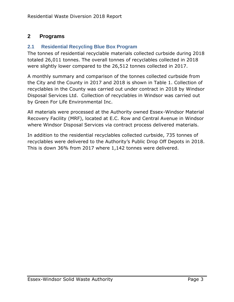# <span id="page-5-0"></span>**2 Programs**

#### <span id="page-5-1"></span>**2.1 Residential Recycling Blue Box Program**

The tonnes of residential recyclable materials collected curbside during 2018 totaled 26,011 tonnes. The overall tonnes of recyclables collected in 2018 were slightly lower compared to the 26,512 tonnes collected in 2017.

A monthly summary and comparison of the tonnes collected curbside from the City and the County in 2017 and 2018 is shown in Table 1. Collection of recyclables in the County was carried out under contract in 2018 by Windsor Disposal Services Ltd. Collection of recyclables in Windsor was carried out by Green For Life Environmental Inc.

All materials were processed at the Authority owned Essex-Windsor Material Recovery Facility (MRF), located at E.C. Row and Central Avenue in Windsor where Windsor Disposal Services via contract process delivered materials.

In addition to the residential recyclables collected curbside, 735 tonnes of recyclables were delivered to the Authority's Public Drop Off Depots in 2018. This is down 36% from 2017 where 1,142 tonnes were delivered.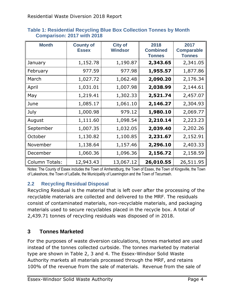| <b>Month</b>          | <b>County of</b><br><b>Essex</b> | <b>City of</b><br><b>Windsor</b> | 2018<br><b>Combined</b><br><b>Tonnes</b> | 2017<br><b>Comparable</b><br><b>Tonnes</b> |
|-----------------------|----------------------------------|----------------------------------|------------------------------------------|--------------------------------------------|
| January               | 1,152.78                         | 1,190.87                         | 2,343.65                                 | 2,341.05                                   |
| February              | 977.59                           | 977.98                           | 1,955.57                                 | 1,877.86                                   |
| March                 | 1,027.72                         | 1,062.48                         | 2,090.20                                 | 2,176.34                                   |
| April                 | 1,031.01                         | 1,007.98                         | 2,038.99                                 | 2,144.61                                   |
| May                   | 1,219.41                         | 1,302.33                         | 2,521.74                                 | 2,457.07                                   |
| June                  | 1,085.17                         | 1,061.10                         | 2,146.27                                 | 2,304.93                                   |
| July                  | 1,000.98                         | 979.12                           | 1,980.10                                 | 2,069.77                                   |
| August                | 1,111.60                         | 1,098.54                         | 2,210.14                                 | 2,223.23                                   |
| September             | 1,007.35                         | 1,032.05                         | 2,039.40                                 | 2,202.26                                   |
| October               | 1,130.82                         | 1,100.85                         | 2,231.67                                 | 2,152.91                                   |
| November              | 1,138.64                         | 1,157.46                         | 2,296.10                                 | 2,403.33                                   |
| December              | 1,060.36                         | 1,096.36                         | 2,156.72                                 | 2,158.59                                   |
| <b>Column Totals:</b> | 12,943.43                        | 13,067.12                        | 26,010.55                                | 26,511.95                                  |

#### <span id="page-6-0"></span>**Table 1: Residential Recycling Blue Box Collection Tonnes by Month Comparison: 2017 with 2018**

Notes: The County of Essex includes the Town of Amherstburg, the Town of Essex, the Town of Kingsville, the Town of Lakeshore, the Town of LaSalle, the Municipality of Leamington and the Town of Tecumseh.

# <span id="page-6-1"></span>**2.2 Recycling Residual Disposal**

Recycling Residual is the material that is left over after the processing of the recyclable materials are collected and delivered to the MRF. The residuals consist of contaminated materials, non-recyclable materials, and packaging materials used to secure recyclables placed in the recycle box. A total of 2,439.71 tonnes of recycling residuals was disposed of in 2018.

# <span id="page-6-2"></span>**3 Tonnes Marketed**

For the purposes of waste diversion calculations, tonnes marketed are used instead of the tonnes collected curbside. The tonnes marketed by material type are shown in Table 2, 3 and 4. The Essex-Windsor Solid Waste Authority markets all materials processed through the MRF, and retains 100% of the revenue from the sale of materials. Revenue from the sale of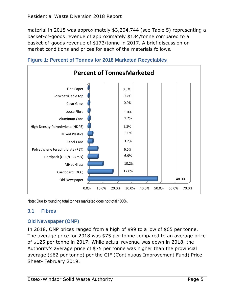material in 2018 was approximately \$3,204,744 (see Table 5) representing a basket-of-goods revenue of approximately \$134/tonne compared to a basket-of-goods revenue of \$173/tonne in 2017. A brief discussion on market conditions and prices for each of the materials follows.



<span id="page-7-0"></span>

Note: Due to rounding total tonnes marketed does not total 100%.

#### <span id="page-7-1"></span>**3.1 Fibres**

#### <span id="page-7-2"></span>**Old Newspaper (ONP)**

In 2018, ONP prices ranged from a high of \$99 to a low of \$65 per tonne. The average price for 2018 was \$75 per tonne compared to an average price of \$125 per tonne in 2017. While actual revenue was down in 2018, the Authority's average price of \$75 per tonne was higher than the provincial average (\$62 per tonne) per the CIF (Continuous Improvement Fund) Price Sheet- February 2019.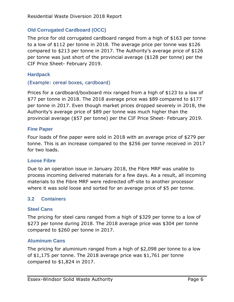#### <span id="page-8-0"></span>**Old Corrugated Cardboard (OCC)**

The price for old corrugated cardboard ranged from a high of \$163 per tonne to a low of \$112 per tonne in 2018. The average price per tonne was \$126 compared to \$213 per tonne in 2017. The Authority's average price of \$126 per tonne was just short of the provincial average (\$128 per tonne) per the CIF Price Sheet- February 2019.

#### <span id="page-8-1"></span>**Hardpack**

#### (Example: cereal boxes, cardboard)

Prices for a cardboard/boxboard mix ranged from a high of \$123 to a low of \$77 per tonne in 2018. The 2018 average price was \$89 compared to \$177 per tonne in 2017. Even though market prices dropped severely in 2018, the Authority's average price of \$89 per tonne was much higher than the provincial average (\$57 per tonne) per the CIF Price Sheet- February 2019.

#### <span id="page-8-2"></span>**Fine Paper**

Four loads of fine paper were sold in 2018 with an average price of \$279 per tonne. This is an increase compared to the \$256 per tonne received in 2017 for two loads.

#### <span id="page-8-3"></span>**Loose Fibre**

Due to an operation issue in January 2018, the Fibre MRF was unable to process incoming delivered materials for a few days. As a result, all incoming materials to the Fibre MRF were redirected off-site to another processor where it was sold loose and sorted for an average price of \$5 per tonne.

#### <span id="page-8-4"></span>**3.2 Containers**

#### <span id="page-8-5"></span>**Steel Cans**

The pricing for steel cans ranged from a high of \$329 per tonne to a low of \$273 per tonne during 2018. The 2018 average price was \$304 per tonne compared to \$260 per tonne in 2017.

#### <span id="page-8-6"></span>**Aluminum Cans**

The pricing for aluminium ranged from a high of \$2,098 per tonne to a low of \$1,175 per tonne. The 2018 average price was \$1,761 per tonne compared to \$1,824 in 2017.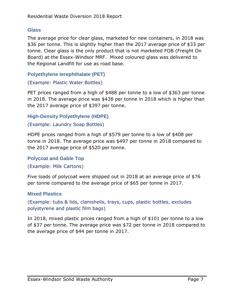#### <span id="page-9-0"></span>**Glass**

The average price for clear glass, marketed for new containers, in 2018 was \$36 per tonne. This is slightly higher than the 2017 average price of \$33 per tonne. Clear glass is the only product that is not marketed FOB (Freight On Board) at the Essex-Windsor MRF. Mixed coloured glass was delivered to the Regional Landfill for use as road base.

<span id="page-9-1"></span>**Polyethylene terephthalate (PET)**

(Example: Plastic Water Bottles)

PET prices ranged from a high of \$488 per tonne to a low of \$363 per tonne in 2018. The average price was \$438 per tonne in 2018 which is higher than the 2017 average price of \$397 per tonne.

<span id="page-9-2"></span>**High-Density Polyethylene (HDPE)**

#### (Example: Laundry Soap Bottles)

HDPE prices ranged from a high of \$579 per tonne to a low of \$408 per tonne in 2018. The average price was \$497 per tonne in 2018 compared to the 2017 average price of \$520 per tonne.

#### <span id="page-9-3"></span>**Polycoat and Gable Top**

#### (Example: Milk Cartons)

Five loads of polycoat were shipped out in 2018 at an average price of \$76 per tonne compared to the average price of \$65 per tonne in 2017.

#### <span id="page-9-4"></span>**Mixed Plastics**

(Example: tubs & lids, clamshells, trays, cups, plastic bottles, excludes polystyrene and plastic film bags)

In 2018, mixed plastic prices ranged from a high of \$101 per tonne to a low of \$37 per tonne. The average price was \$72 per tonne in 2018 compared to the average price of \$44 per tonne in 2017.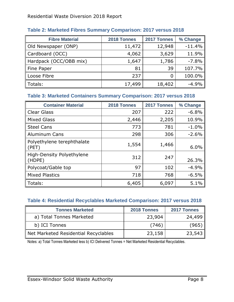| <b>Fibre Material</b>  | 2018 Tonnes | 2017 Tonnes | % Change |
|------------------------|-------------|-------------|----------|
| Old Newspaper (ONP)    | 11,472      | 12,948      | $-11.4%$ |
| Cardboard (OCC)        | 4,062       | 3,629       | 11.9%    |
| Hardpack (OCC/OBB mix) | 1,647       | 1,786       | $-7.8%$  |
| Fine Paper             | 81          | 39          | 107.7%   |
| Loose Fibre            | 237         |             | 100.0%   |
| $\parallel$ Totals:    | 17,499      | 18,402      | $-4.9%$  |

## <span id="page-10-0"></span>**Table 2: Marketed Fibres Summary Comparison: 2017 versus 2018**

### <span id="page-10-1"></span>**Table 3: Marketed Containers Summary Comparison: 2017 versus 2018**

| <b>Container Material</b>                       | 2018 Tonnes | 2017 Tonnes | % Change |
|-------------------------------------------------|-------------|-------------|----------|
| Clear Glass                                     | 207         | 222         | $-6.8%$  |
| <b>Mixed Glass</b>                              | 2,446       | 2,205       | 10.9%    |
| <b>Steel Cans</b>                               | 773         | 781         | $-1.0%$  |
| Aluminum Cans                                   | 298         | 306         | $-2.6%$  |
| Polyethylene terephthalate<br>$\parallel$ (PET) | 1,554       | 1,466       | 6.0%     |
| High-Density Polyethylene<br>$\vert$ (HDPE)     | 312         | 247         | 26.3%    |
| Polycoat/Gable top                              | 97          | 102         | $-4.9%$  |
| Mixed Plastics                                  | 718         | 768         | $-6.5%$  |
| Totals:                                         | 6,405       | 6,097       | 5.1%     |

#### <span id="page-10-2"></span>**Table 4: Residential Recyclables Marketed Comparison: 2017 versus 2018**

| <b>Tonnes Marketed</b>               | 2018 Tonnes | 2017 Tonnes |
|--------------------------------------|-------------|-------------|
| a) Total Tonnes Marketed             | 23,904      | 24,499      |
| b) ICI Tonnes                        | (746)       | (965)       |
| Net Marketed Residential Recyclables | 23,158      | 23,543      |

Notes: a) Total Tonnes Marketed less b) ICI Delivered Tonnes = Net Marketed Residential Recyclables.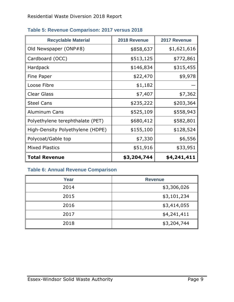| <b>Recyclable Material</b>       | 2018 Revenue | 2017 Revenue |
|----------------------------------|--------------|--------------|
| Old Newspaper (ONP#8)            | \$858,637    | \$1,621,616  |
| Cardboard (OCC)                  | \$513,125    | \$772,861    |
| Hardpack                         | \$146,834    | \$315,455    |
| Fine Paper                       | \$22,470     | \$9,978      |
| Loose Fibre                      | \$1,182      |              |
| <b>Clear Glass</b>               | \$7,407      | \$7,362      |
| <b>Steel Cans</b>                | \$235,222    | \$203,364    |
| <b>Aluminum Cans</b>             | \$525,109    | \$558,943    |
| Polyethylene terephthalate (PET) | \$680,412    | \$582,801    |
| High-Density Polyethylene (HDPE) | \$155,100    | \$128,524    |
| Polycoat/Gable top               | \$7,330      | \$6,556      |
| <b>Mixed Plastics</b>            | \$51,916     | \$33,951     |
| <b>Total Revenue</b>             | \$3,204,744  | \$4,241,411  |

# <span id="page-11-0"></span>**Table 5: Revenue Comparison: 2017 versus 2018**

# <span id="page-11-1"></span>**Table 6: Annual Revenue Comparison**

| Year | <b>Revenue</b> |  |
|------|----------------|--|
| 2014 | \$3,306,026    |  |
| 2015 | \$3,101,234    |  |
| 2016 | \$3,414,055    |  |
| 2017 | \$4,241,411    |  |
| 2018 | \$3,204,744    |  |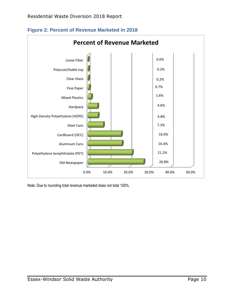

<span id="page-12-0"></span>**Figure 2: Percent of Revenue Marketed in 2018**

Note: Due to rounding total revenue marketed does not total 100%.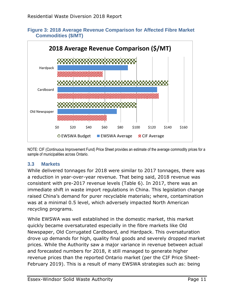<span id="page-13-0"></span>**Figure 3: 2018 Average Revenue Comparison for Affected Fibre Market Commodities (\$/MT)**





#### <span id="page-13-1"></span>**3.3 Markets**

While delivered tonnages for 2018 were similar to 2017 tonnages, there was a reduction in year-over-year revenue. That being said, 2018 revenue was consistent with pre-2017 revenue levels (Table 6). In 2017, there was an immediate shift in waste import regulations in China. This legislation change raised China's demand for purer recyclable materials; where, contamination was at a minimal 0.5 level, which adversely impacted North American recycling programs.

While EWSWA was well established in the domestic market, this market quickly became oversaturated especially in the fibre markets like Old Newspaper, Old Corrugated Cardboard, and Hardpack. This oversaturation drove up demands for high, quality final goods and severely dropped market prices. While the Authority saw a major variance in revenue between actual and forecasted numbers for 2018, it still managed to generate higher revenue prices than the reported Ontario market (per the CIF Price Sheet-February 2019). This is a result of many EWSWA strategies such as: being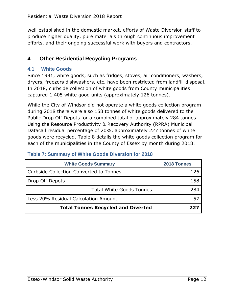well-established in the domestic market, efforts of Waste Diversion staff to produce higher quality, pure materials through continuous improvement efforts, and their ongoing successful work with buyers and contractors.

# <span id="page-14-0"></span>**4 Other Residential Recycling Programs**

#### <span id="page-14-1"></span>**4.1 White Goods**

Since 1991, white goods, such as fridges, stoves, air conditioners, washers, dryers, freezers dishwashers, etc. have been restricted from landfill disposal. In 2018, curbside collection of white goods from County municipalities captured 1,405 white good units (approximately 126 tonnes).

While the City of Windsor did not operate a white goods collection program during 2018 there were also 158 tonnes of white goods delivered to the Public Drop Off Depots for a combined total of approximately 284 tonnes. Using the Resource Productivity & Recovery Authority (RPRA) Municipal Datacall residual percentage of 20%, approximately 227 tonnes of white goods were recycled. Table 8 details the white goods collection program for each of the municipalities in the County of Essex by month during 2018.

| <b>White Goods Summary</b>                | 2018 Tonnes |
|-------------------------------------------|-------------|
| Curbside Collection Converted to Tonnes   |             |
| Drop Off Depots                           | 158         |
| <b>Total White Goods Tonnes</b>           | 284         |
| Less 20% Residual Calculation Amount      |             |
| <b>Total Tonnes Recycled and Diverted</b> |             |

#### <span id="page-14-2"></span>**Table 7: Summary of White Goods Diversion for 2018**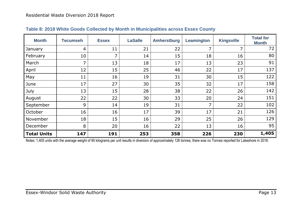| <b>Month</b>       | <b>Tecumseh</b> | <b>Essex</b> | <b>LaSalle</b> | <b>Amherstburg</b> | Leamington     | <b>Kingsville</b> | <b>Total for</b><br><b>Month</b> |
|--------------------|-----------------|--------------|----------------|--------------------|----------------|-------------------|----------------------------------|
| January            | 4               | 11           | 21             | 22                 | $\overline{7}$ | $\overline{7}$    | 72                               |
| February           | 10              | 7            | 14             | 15                 | 18             | 16                | 80                               |
| March              | $\overline{7}$  | 13           | 18             | 17                 | 13             | 23                | 91                               |
| April              | 12              | 15           | 25             | 46                 | 22             | 17                | 137                              |
| May                | 11              | 16           | 19             | 31                 | 30             | 15                | 122                              |
| June               | 17              | 27           | 30             | 35                 | 32             | 17                | 158                              |
| July               | 13              | 15           | 28             | 38                 | 22             | 26                | 142                              |
| August             | 22              | 22           | 30             | 33                 | 20             | 24                | 151                              |
| September          | 9               | 14           | 19             | 31                 | $\overline{ }$ | 22                | 102                              |
| October            | 16              | 16           | 17             | 39                 | 17             | 21                | 126                              |
| November           | 18              | 15           | 16             | 29                 | 25             | 26                | 129                              |
| December           | 8               | 20           | 16             | 22                 | 13             | 16                | 95                               |
| <b>Total Units</b> | 147             | 191          | 253            | 358                | 226            | 230               | 1,405                            |

#### **Table 8: 2018 White Goods Collected by Month in Municipalities across Essex County**

<span id="page-15-0"></span>Notes: 1,405 units with the average weight of 90 kilograms per unit results in diversion of approximately 126 tonnes; there was no Tonnes reported for Lakeshore in 2018.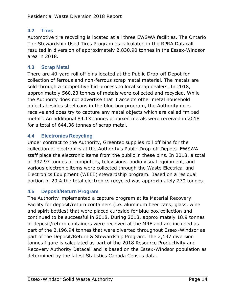# <span id="page-16-0"></span>**4.2 Tires**

Automotive tire recycling is located at all three EWSWA facilities. The Ontario Tire Stewardship Used Tires Program as calculated in the RPRA Datacall resulted in diversion of approximately 2,830.90 tonnes in the Essex-Windsor area in 2018.

#### <span id="page-16-1"></span>**4.3 Scrap Metal**

There are 40-yard roll off bins located at the Public Drop-off Depot for collection of ferrous and non-ferrous scrap metal material. The metals are sold through a competitive bid process to local scrap dealers. In 2018, approximately 560.23 tonnes of metals were collected and recycled. While the Authority does not advertise that it accepts other metal household objects besides steel cans in the blue box program, the Authority does receive and does try to capture any metal objects which are called "mixed metal". An additional 84.13 tonnes of mixed metals were received in 2018 for a total of 644.36 tonnes of scrap metal.

# <span id="page-16-2"></span>**4.4 Electronics Recycling**

Under contract to the Authority, Greentec supplies roll off bins for the collection of electronics at the Authority's Public Drop-off Depots. EWSWA staff place the electronic items from the public in these bins. In 2018, a total of 337.97 tonnes of computers, televisions, audio visual equipment, and various electronic items were collected through the Waste Electrical and Electronics Equipment (WEEE) stewardship program. Based on a residual portion of 20% the total electronics recycled was approximately 270 tonnes.

# <span id="page-16-3"></span>**4.5 Deposit/Return Program**

The Authority implemented a capture program at its Material Recovery Facility for deposit/return containers (i.e. aluminum beer cans; glass, wine and spirit bottles) that were placed curbside for blue box collection and continued to be successful in 2018. During 2018, approximately 18.9 tonnes of deposit/return containers were received at the MRF and are included as part of the 2,196.94 tonnes that were diverted throughout Essex-Windsor as part of the Deposit/Return & Stewardship Program. The 2,197 diversion tonnes figure is calculated as part of the 2018 Resource Productivity and Recovery Authority Datacall and is based on the Essex-Windsor population as determined by the latest Statistics Canada Census data.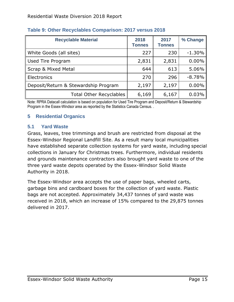| <b>Recyclable Material</b>           | 2018<br><b>Tonnes</b> | 2017<br><b>Tonnes</b> | % Change  |
|--------------------------------------|-----------------------|-----------------------|-----------|
| White Goods (all sites)              | 227                   | 230                   | $-1.30\%$ |
| Used Tire Program                    | 2,831                 | 2,831                 | $0.00\%$  |
| <b>Scrap &amp; Mixed Metal</b>       | 644                   | 613                   | 5.06%     |
| Electronics                          | 270                   | 296                   | $-8.78%$  |
| Deposit/Return & Stewardship Program | 2,197                 | 2,197                 | $0.00\%$  |
| <b>Total Other Recyclables</b>       | 6,169                 | 6,167                 | 0.03%     |

# <span id="page-17-0"></span>**Table 9: Other Recyclables Comparison: 2017 versus 2018**

Note: RPRA Datacall calculation is based on population for Used Tire Program and Deposit/Return & Stewardship Program in the Essex-Windsor area as reported by the Statistics Canada Census. .

#### <span id="page-17-1"></span>**5 Residential Organics**

#### <span id="page-17-2"></span>**5.1 Yard Waste**

Grass, leaves, tree trimmings and brush are restricted from disposal at the Essex-Windsor Regional Landfill Site. As a result many local municipalities have established separate collection systems for yard waste, including special collections in January for Christmas trees. Furthermore, individual residents and grounds maintenance contractors also brought yard waste to one of the three yard waste depots operated by the Essex-Windsor Solid Waste Authority in 2018.

The Essex-Windsor area accepts the use of paper bags, wheeled carts, garbage bins and cardboard boxes for the collection of yard waste. Plastic bags are not accepted. Approximately 34,437 tonnes of yard waste was received in 2018, which an increase of 15% compared to the 29,875 tonnes delivered in 2017.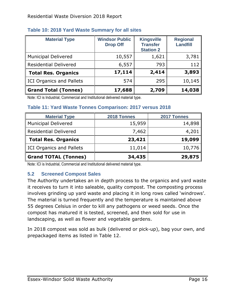| <b>Material Type</b>            | <b>Windsor Public</b><br><b>Drop Off</b> | <b>Kingsville</b><br><b>Transfer</b><br><b>Station 2</b> | <b>Regional</b><br><b>Landfill</b> |
|---------------------------------|------------------------------------------|----------------------------------------------------------|------------------------------------|
| <b>Municipal Delivered</b>      | 10,557                                   | 1,621                                                    | 3,781                              |
| <b>Residential Delivered</b>    | 6,557                                    | 793                                                      | 112                                |
| <b>Total Res. Organics</b>      | 17,114                                   | 2,414                                                    | 3,893                              |
| <b>ICI Organics and Pallets</b> | 574                                      | 295                                                      | 10,145                             |
| <b>Grand Total (Tonnes)</b>     | 17,688                                   | 2,709                                                    | 14,038                             |

#### <span id="page-18-0"></span>**Table 10: 2018 Yard Waste Summary for all sites**

Note: ICI is Industrial, Commercial and Institutional delivered material type.

#### <span id="page-18-1"></span>**Table 11: Yard Waste Tonnes Comparison: 2017 versus 2018**

| <b>Material Type</b>            | 2018 Tonnes | 2017 Tonnes |
|---------------------------------|-------------|-------------|
| <b>Municipal Delivered</b>      | 15,959      | 14,898      |
| <b>Residential Delivered</b>    | 7,462       | 4,201       |
| <b>Total Res. Organics</b>      | 23,421      | 19,099      |
| <b>ICI Organics and Pallets</b> | 11,014      | 10,776      |
| <b>Grand TOTAL (Tonnes)</b>     | 34,435      | 29,875      |

Note: ICI is Industrial, Commercial and Institutional delivered material type.

#### <span id="page-18-2"></span>**5.2 Screened Compost Sales**

The Authority undertakes an in depth process to the organics and yard waste it receives to turn it into saleable, quality compost. The composting process involves grinding up yard waste and placing it in long rows called 'windrows'. The material is turned frequently and the temperature is maintained above 55 degrees Celsius in order to kill any pathogens or weed seeds. Once the compost has matured it is tested, screened, and then sold for use in landscaping, as well as flower and vegetable gardens.

In 2018 compost was sold as bulk (delivered or pick-up), bag your own, and prepackaged items as listed in Table 12.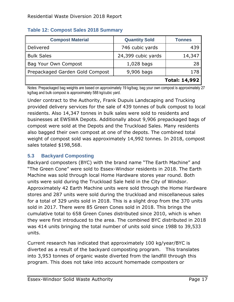| <b>Compost Material</b>         | <b>Quantity Sold</b> | <b>Tonnes</b> |
|---------------------------------|----------------------|---------------|
| Delivered                       | 746 cubic yards      | 439           |
| <b>Bulk Sales</b>               | 24,399 cubic yards   | 14,347        |
| Bag Your Own Compost            | $1,028$ bags         | 28            |
| Prepackaged Garden Gold Compost | 9,906 bags           | 178           |
|                                 |                      | Total: 14,992 |

#### <span id="page-19-0"></span>**Table 12: Compost Sales 2018 Summary**

Notes: Prepackaged bag weights are based on approximately 19 kg/bag; bag your own compost is approximately 27 kg/bag and bulk compost is approximately 588 kg/cubic yard.

Under contract to the Authority, Frank Dupuis Landscaping and Trucking provided delivery services for the sale of 439 tonnes of bulk compost to local residents. Also 14,347 tonnes in bulk sales were sold to residents and businesses at EWSWA Depots. Additionally about 9,906 prepackaged bags of compost were sold at the Depots and the Truckload Sales. Many residents also bagged their own compost at one of the depots. The combined total weight of compost sold was approximately 14,992 tonnes. In 2018, compost sales totaled \$198,568.

#### <span id="page-19-1"></span>**5.3 Backyard Composting**

Backyard composters (BYC) with the brand name "The Earth Machine" and "The Green Cone" were sold to Essex-Windsor residents in 2018. The Earth Machine was sold through local Home Hardware stores year round. Both units were sold during the Truckload Sale held in the City of Windsor. Approximately 42 Earth Machine units were sold through the Home Hardware stores and 287 units were sold during the truckload and miscellaneous sales for a total of 329 units sold in 2018. This is a slight drop from the 370 units sold in 2017. There were 85 Green Cones sold in 2018. This brings the cumulative total to 658 Green Cones distributed since 2010, which is when they were first introduced to the area. The combined BYC distributed in 2018 was 414 units bringing the total number of units sold since 1988 to 39,533 units.

Current research has indicated that approximately 100 kg/year/BYC is diverted as a result of the backyard composting program. This translates into 3,953 tonnes of organic waste diverted from the landfill through this program. This does not take into account homemade composters or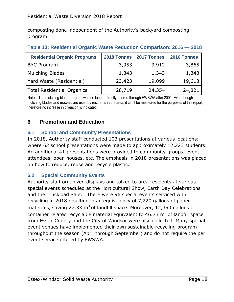composting done independent of the Authority's backyard composting program.

| <b>Residential Organic Programs</b> | 2018 Tonnes | 2017 Tonnes | 2016 Tonnes |
|-------------------------------------|-------------|-------------|-------------|
| <b>BYC Program</b>                  | 3,953       | 3,912       | 3,865       |
| Mulching Blades                     | 1,343       | 1,343       | 1,343       |
| Yard Waste (Residential)            | 23,423      | 19,099      | 19,613      |
| Total Residential Organics          | 28,719      | 24,354      | 24,821      |

#### <span id="page-20-0"></span>**Table 13: Residential Organic Waste Reduction Comparison: 2016 — 2018**

Notes: The mulching blade program was no longer directly offered through EWSWA after 2001. Even though mulching blades and mowers are used by residents in the area, it can't be measured for the purposes of this report; therefore no increase in diversion is indicated.

# <span id="page-20-1"></span>**6 Promotion and Education**

#### <span id="page-20-2"></span>**6.1 School and Community Presentations**

In 2018, Authority staff conducted 103 presentations at various locations; where 62 school presentations were made to approximately 12,223 students. An additional 41 presentations were provided to community groups, event attendees, open houses, etc. The emphasis in 2018 presentations was placed on how to reduce, reuse and recycle plastic.

#### <span id="page-20-3"></span>**6.2 Special Community Events**

Authority staff organized displays and talked to area residents at various special events scheduled at the Horticultural Show, Earth Day Celebrations and the Truckload Sale. There were 96 special events serviced with recycling in 2018 resulting in an equivalency of 7,220 gallons of paper materials, saving 27.33  $m<sup>3</sup>$  of landfill space. Moreover, 12,350 gallons of container related recyclable material equivalent to  $46.73$  m<sup>3</sup> of landfill space from Essex County and the City of Windsor were also collected. Many special event venues have implemented their own sustainable recycling program throughout the season (April through September) and do not require the per event service offered by EWSWA.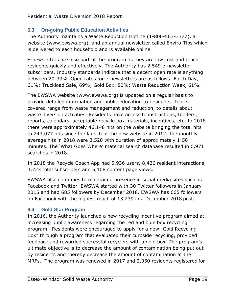# <span id="page-21-0"></span>**6.3 On-going Public Education Activities**

The Authority maintains a Waste Reduction Hotline (1-800-563-3377), a website (www.ewswa.org), and an annual newsletter called Enviro-Tips which is delivered to each household and is available online.

E-newsletters are also part of the program as they are low cost and reach residents quickly and effectively. The Authority has 2,549 e-newsletter subscribers. Industry standards indicate that a decent open rate is anything between 20-33%. Open rates for e-newsletters are as follows: Earth Day, 61%; Truckload Sale, 69%; Gold Box, 80%; Waste Reduction Week, 61%.

The EWSWA website (www.ewswa.org) is updated on a regular basis to provide detailed information and public education to residents. Topics covered range from waste management and reduction, to details about waste diversion activities. Residents have access to instructions, tenders, reports, calendars, acceptable recycle box materials, incentives, etc. In 2018 there were approximately 46,148 hits on the website bringing the total hits to 243,077 hits since the launch of the new website in 2012; the monthly average hits in 2018 were 3,520 with duration of approximately 1:50 minutes. The 'What Goes Where' material search database resulted in 6,971 searches in 2018.

In 2018 the Recycle Coach App had 5,936 users, 8,436 resident interactions, 3,723 total subscribers and 5,108 content page views.

EWSWA also continues to maintain a presence in social media sites such as Facebook and Twitter. EWSWA started with 30 Twitter followers in January 2015 and had 685 followers by December 2018. EWSWA has 665 followers on Facebook with the highest reach of 13,239 in a December 2018 post.

# <span id="page-21-1"></span>**6.4 Gold Star Program**

In 2016, the Authority launched a new recycling incentive program aimed at increasing public awareness regarding the red and blue box recycling program. Residents were encouraged to apply for a new "Gold Recycling Box" through a program that evaluated their curbside recycling, provided feedback and rewarded successful recyclers with a gold box. The program's ultimate objective is to decrease the amount of contamination being put out by residents and thereby decrease the amount of contamination at the MRFs. The program was renewed in 2017 and 2,050 residents registered for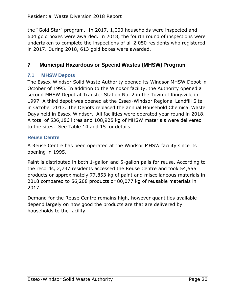the "Gold Star" program. In 2017, 1,000 households were inspected and 604 gold boxes were awarded. In 2018, the fourth round of inspections were undertaken to complete the inspections of all 2,050 residents who registered in 2017. During 2018, 613 gold boxes were awarded.

# <span id="page-22-0"></span>**7 Municipal Hazardous or Special Wastes (MHSW) Program**

#### <span id="page-22-1"></span>**7.1 MHSW Depots**

The Essex-Windsor Solid Waste Authority opened its Windsor MHSW Depot in October of 1995. In addition to the Windsor facility, the Authority opened a second MHSW Depot at Transfer Station No. 2 in the Town of Kingsville in 1997. A third depot was opened at the Essex-Windsor Regional Landfill Site in October 2013. The Depots replaced the annual Household Chemical Waste Days held in Essex-Windsor. All facilities were operated year round in 2018. A total of 536,186 litres and 108,925 kg of MHSW materials were delivered to the sites. See Table 14 and 15 for details.

#### <span id="page-22-2"></span>**Reuse Centre**

A Reuse Centre has been operated at the Windsor MHSW facility since its opening in 1995.

Paint is distributed in both 1-gallon and 5-gallon pails for reuse. According to the records, 2,737 residents accessed the Reuse Centre and took 54,555 products or approximately 77,853 kg of paint and miscellaneous materials in 2018 compared to 56,208 products or 80,077 kg of reusable materials in 2017.

Demand for the Reuse Centre remains high, however quantities available depend largely on how good the products are that are delivered by households to the facility.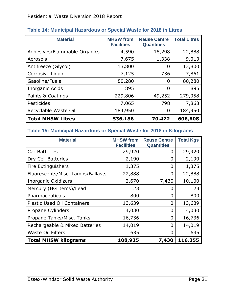| <b>Material</b>              | <b>MHSW</b> from<br><b>Facilities</b> | <b>Reuse Centre</b><br><b>Quantities</b> | <b>Total Litres</b> |
|------------------------------|---------------------------------------|------------------------------------------|---------------------|
| Adhesives/Flammable Organics | 4,590                                 | 18,298                                   | 22,888              |
| Aerosols                     | 7,675                                 | 1,338                                    | 9,013               |
| Antifreeze (Glycol)          | 13,800                                | 0                                        | 13,800              |
| Corrosive Liquid             | 7,125                                 | 736                                      | 7,861               |
| Gasoline/Fuels               | 80,280                                | 0                                        | 80,280              |
| Inorganic Acids              | 895                                   | 0                                        | 895                 |
| Paints & Coatings            | 229,806                               | 49,252                                   | 279,058             |
| Pesticides                   | 7,065                                 | 798                                      | 7,863               |
| Recyclable Waste Oil         | 184,950                               | $\overline{0}$                           | 184,950             |
| <b>Total MHSW Litres</b>     | 536,186                               | 70,422                                   | 606,608             |

#### <span id="page-23-0"></span>**Table 14: Municipal Hazardous or Special Waste for 2018 in Litres**

#### <span id="page-23-1"></span>**Table 15: Municipal Hazardous or Special Waste for 2018 in Kilograms**

| <b>Material</b>                    | <b>MHSW from</b><br><b>Facilities</b> | <b>Reuse Centre</b><br><b>Quantities</b> | <b>Total Kgs</b> |
|------------------------------------|---------------------------------------|------------------------------------------|------------------|
| <b>Car Batteries</b>               | 29,920                                | 0                                        | 29,920           |
| Dry Cell Batteries                 | 2,190                                 | 0                                        | 2,190            |
| Fire Extinguishers                 | 1,375                                 | 0                                        | 1,375            |
| Fluorescents/Misc. Lamps/Ballasts  | 22,888                                | 0                                        | 22,888           |
| <b>Inorganic Oxidizers</b>         | 2,670                                 | 7,430                                    | 10,100           |
| Mercury (HG items)/Lead            | 23                                    | 0                                        | 23               |
| Pharmaceuticals                    | 800                                   | 0                                        | 800              |
| <b>Plastic Used Oil Containers</b> | 13,639                                | 0                                        | 13,639           |
| Propane Cylinders                  | 4,030                                 | 0                                        | 4,030            |
| Propane Tanks/Misc. Tanks          | 16,736                                | 0                                        | 16,736           |
| Rechargeable & Mixed Batteries     | 14,019                                | 0                                        | 14,019           |
| <b>Waste Oil Filters</b>           | 635                                   | 0                                        | 635              |
| <b>Total MHSW kilograms</b>        | 108,925                               | 7,430                                    | 116,355          |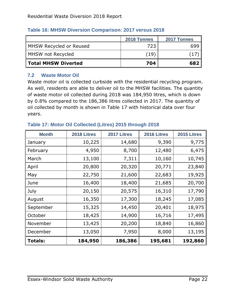|                         | 2018 Tonnes | 2017 Tonnes |
|-------------------------|-------------|-------------|
| MHSW Recycled or Reused | 723         | 699         |
| MHSW not Recycled       | (19)        |             |
| Total MHSW Diverted     | 704         | 682         |

#### <span id="page-24-0"></span>**Table 16: MHSW Diversion Comparison: 2017 versus 2018**

#### <span id="page-24-1"></span>**7.2 Waste Motor Oil**

Waste motor oil is collected curbside with the residential recycling program. As well, residents are able to deliver oil to the MHSW facilities. The quantity of waste motor oil collected during 2018 was 184,950 litres, which is down by 0.8% compared to the 186,386 litres collected in 2017. The quantity of oil collected by month is shown in Table 17 with historical data over four years.

| <b>Month</b>   | 2018 Litres | 2017 Litres | 2016 Litres | 2015 Litres |
|----------------|-------------|-------------|-------------|-------------|
| January        | 10,225      | 14,680      | 9,390       | 9,775       |
| February       | 4,950       | 8,700       | 12,480      | 6,475       |
| March          | 13,100      | 7,311       | 10,160      | 10,745      |
| April          | 20,800      | 20,320      | 20,771      | 23,840      |
| May            | 22,750      | 21,600      | 22,683      | 19,925      |
| June           | 16,400      | 18,400      | 21,685      | 20,700      |
| July           | 20,150      | 20,575      | 16,310      | 17,790      |
| August         | 16,350      | 17,300      | 18,245      | 17,085      |
| September      | 15,325      | 14,450      | 20,401      | 18,975      |
| October        | 18,425      | 14,900      | 16,716      | 17,495      |
| November       | 13,425      | 20,200      | 18,840      | 16,860      |
| December       | 13,050      | 7,950       | 8,000       | 13,195      |
| <b>Totals:</b> | 184,950     | 186,386     | 195,681     | 192,860     |

#### <span id="page-24-2"></span>**Table 17: Motor Oil Collected (Litres) 2015 through 2018**